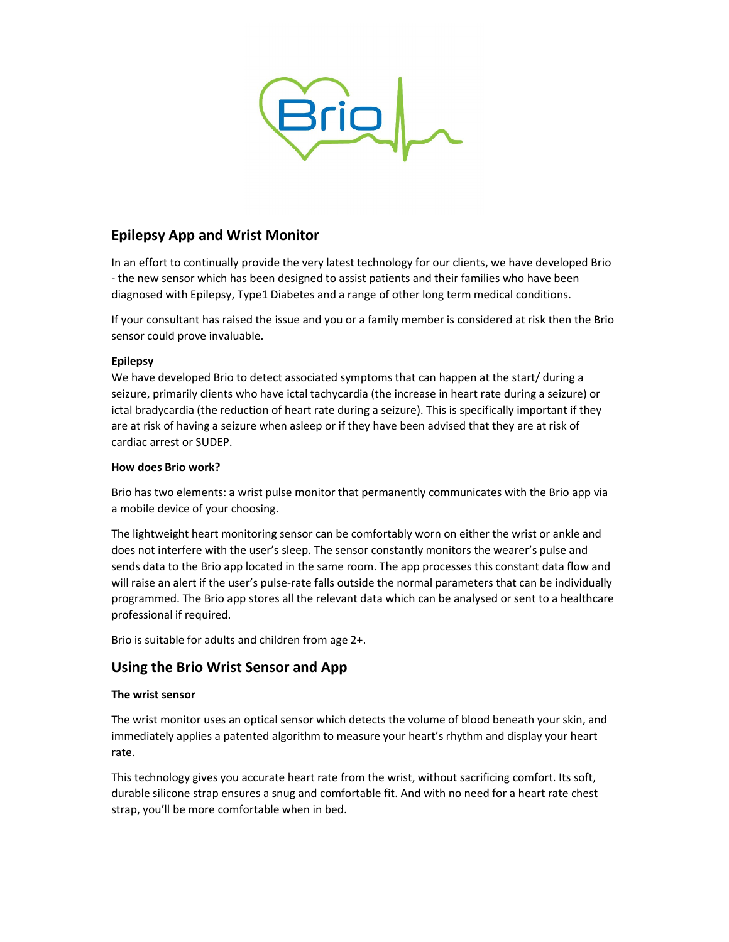

# Epilepsy App and Wrist Monitor

In an effort to continually provide the very latest technology for our clients, we have developed Brio - the new sensor which has been designed to assist patients and their families who have been diagnosed with Epilepsy, Type1 Diabetes and a range of other long term medical conditions.

If your consultant has raised the issue and you or a family member is considered at risk then the Brio sensor could prove invaluable.

# Epilepsy

We have developed Brio to detect associated symptoms that can happen at the start/ during a seizure, primarily clients who have ictal tachycardia (the increase in heart rate during a seizure) or ictal bradycardia (the reduction of heart rate during a seizure). This is specifically important if they are at risk of having a seizure when asleep or if they have been advised that they are at risk of cardiac arrest or SUDEP.

# How does Brio work?

Brio has two elements: a wrist pulse monitor that permanently communicates with the Brio app via a mobile device of your choosing.

The lightweight heart monitoring sensor can be comfortably worn on either the wrist or ankle and does not interfere with the user's sleep. The sensor constantly monitors the wearer's pulse and sends data to the Brio app located in the same room. The app processes this constant data flow and will raise an alert if the user's pulse-rate falls outside the normal parameters that can be individually programmed. The Brio app stores all the relevant data which can be analysed or sent to a healthcare professional if required.

Brio is suitable for adults and children from age 2+.

# Using the Brio Wrist Sensor and App

## The wrist sensor

The wrist monitor uses an optical sensor which detects the volume of blood beneath your skin, and immediately applies a patented algorithm to measure your heart's rhythm and display your heart rate.

This technology gives you accurate heart rate from the wrist, without sacrificing comfort. Its soft, durable silicone strap ensures a snug and comfortable fit. And with no need for a heart rate chest strap, you'll be more comfortable when in bed.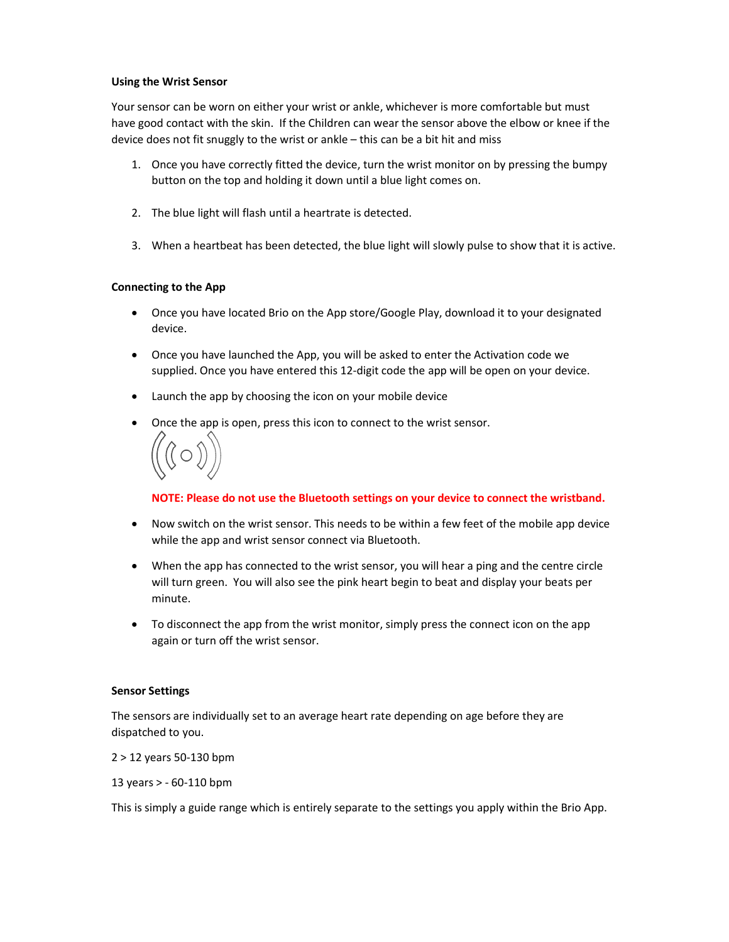## Using the Wrist Sensor

Your sensor can be worn on either your wrist or ankle, whichever is more comfortable but must have good contact with the skin. If the Children can wear the sensor above the elbow or knee if the device does not fit snuggly to the wrist or ankle – this can be a bit hit and miss

- 1. Once you have correctly fitted the device, turn the wrist monitor on by pressing the bumpy button on the top and holding it down until a blue light comes on.
- 2. The blue light will flash until a heartrate is detected.
- 3. When a heartbeat has been detected, the blue light will slowly pulse to show that it is active.

## Connecting to the App

- Once you have located Brio on the App store/Google Play, download it to your designated device.
- Once you have launched the App, you will be asked to enter the Activation code we supplied. Once you have entered this 12-digit code the app will be open on your device.
- Launch the app by choosing the icon on your mobile device
- Once the app is open, press this icon to connect to the wrist sensor.



NOTE: Please do not use the Bluetooth settings on your device to connect the wristband.

- Now switch on the wrist sensor. This needs to be within a few feet of the mobile app device while the app and wrist sensor connect via Bluetooth.
- When the app has connected to the wrist sensor, you will hear a ping and the centre circle will turn green. You will also see the pink heart begin to beat and display your beats per minute.
- To disconnect the app from the wrist monitor, simply press the connect icon on the app again or turn off the wrist sensor.

#### Sensor Settings

The sensors are individually set to an average heart rate depending on age before they are dispatched to you.

2 > 12 years 50-130 bpm

13 years > - 60-110 bpm

This is simply a guide range which is entirely separate to the settings you apply within the Brio App.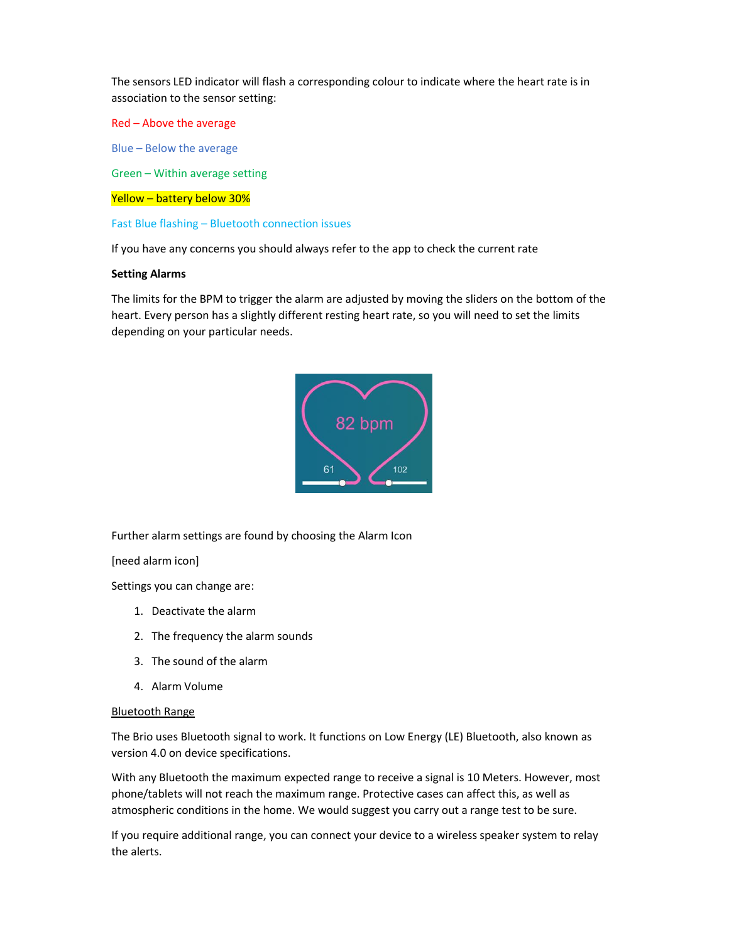The sensors LED indicator will flash a corresponding colour to indicate where the heart rate is in association to the sensor setting:

Red – Above the average

Blue – Below the average

Green – Within average setting

## Yellow – battery below 30%

Fast Blue flashing – Bluetooth connection issues

If you have any concerns you should always refer to the app to check the current rate

### Setting Alarms

The limits for the BPM to trigger the alarm are adjusted by moving the sliders on the bottom of the heart. Every person has a slightly different resting heart rate, so you will need to set the limits depending on your particular needs.



Further alarm settings are found by choosing the Alarm Icon

[need alarm icon]

Settings you can change are:

- 1. Deactivate the alarm
- 2. The frequency the alarm sounds
- 3. The sound of the alarm
- 4. Alarm Volume

#### Bluetooth Range

The Brio uses Bluetooth signal to work. It functions on Low Energy (LE) Bluetooth, also known as version 4.0 on device specifications.

With any Bluetooth the maximum expected range to receive a signal is 10 Meters. However, most phone/tablets will not reach the maximum range. Protective cases can affect this, as well as atmospheric conditions in the home. We would suggest you carry out a range test to be sure.

If you require additional range, you can connect your device to a wireless speaker system to relay the alerts.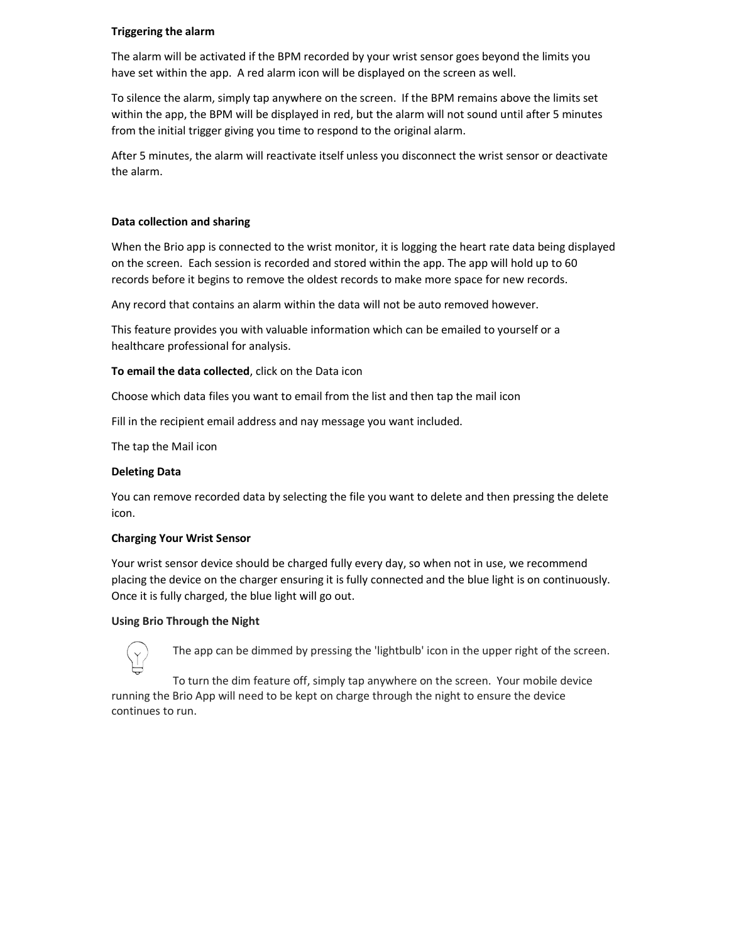## Triggering the alarm

The alarm will be activated if the BPM recorded by your wrist sensor goes beyond the limits you have set within the app. A red alarm icon will be displayed on the screen as well.

To silence the alarm, simply tap anywhere on the screen. If the BPM remains above the limits set within the app, the BPM will be displayed in red, but the alarm will not sound until after 5 minutes from the initial trigger giving you time to respond to the original alarm.

After 5 minutes, the alarm will reactivate itself unless you disconnect the wrist sensor or deactivate the alarm.

## Data collection and sharing

When the Brio app is connected to the wrist monitor, it is logging the heart rate data being displayed on the screen. Each session is recorded and stored within the app. The app will hold up to 60 records before it begins to remove the oldest records to make more space for new records.

Any record that contains an alarm within the data will not be auto removed however.

This feature provides you with valuable information which can be emailed to yourself or a healthcare professional for analysis.

To email the data collected, click on the Data icon

Choose which data files you want to email from the list and then tap the mail icon

Fill in the recipient email address and nay message you want included.

The tap the Mail icon

## Deleting Data

You can remove recorded data by selecting the file you want to delete and then pressing the delete icon.

#### Charging Your Wrist Sensor

Your wrist sensor device should be charged fully every day, so when not in use, we recommend placing the device on the charger ensuring it is fully connected and the blue light is on continuously. Once it is fully charged, the blue light will go out.

## Using Brio Through the Night



The app can be dimmed by pressing the 'lightbulb' icon in the upper right of the screen.

To turn the dim feature off, simply tap anywhere on the screen. Your mobile device running the Brio App will need to be kept on charge through the night to ensure the device continues to run.